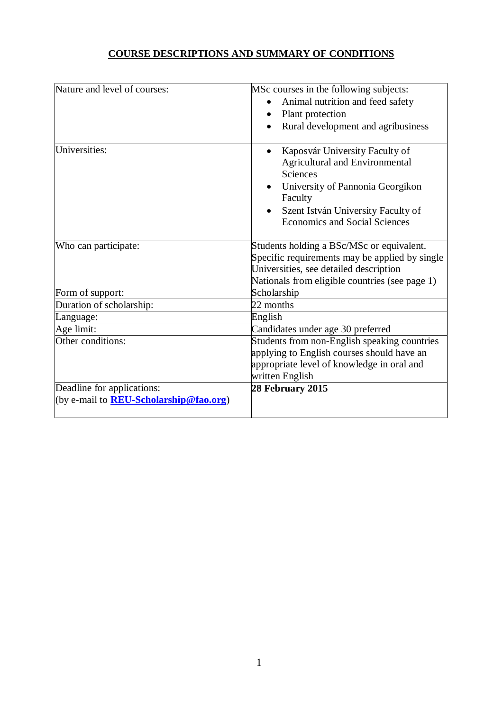# **COURSE DESCRIPTIONS AND SUMMARY OF CONDITIONS**

| Nature and level of courses:                   | MSc courses in the following subjects:                                     |
|------------------------------------------------|----------------------------------------------------------------------------|
|                                                | Animal nutrition and feed safety                                           |
|                                                | Plant protection                                                           |
|                                                | Rural development and agribusiness                                         |
|                                                |                                                                            |
| Universities:                                  | Kaposvár University Faculty of<br><b>Agricultural and Environmental</b>    |
|                                                | <b>Sciences</b>                                                            |
|                                                | University of Pannonia Georgikon<br>Faculty                                |
|                                                | Szent István University Faculty of<br><b>Economics and Social Sciences</b> |
| Who can participate:                           | Students holding a BSc/MSc or equivalent.                                  |
|                                                | Specific requirements may be applied by single                             |
|                                                | Universities, see detailed description                                     |
|                                                | Nationals from eligible countries (see page 1)                             |
| Form of support:                               | Scholarship                                                                |
| Duration of scholarship:                       | 22 months                                                                  |
| Language:                                      | English                                                                    |
| Age limit:                                     | Candidates under age 30 preferred                                          |
| Other conditions:                              | Students from non-English speaking countries                               |
|                                                | applying to English courses should have an                                 |
|                                                | appropriate level of knowledge in oral and                                 |
|                                                | written English                                                            |
| Deadline for applications:                     | 28 February 2015                                                           |
| (by e-mail to <b>REU-Scholarship@fao.org</b> ) |                                                                            |
|                                                |                                                                            |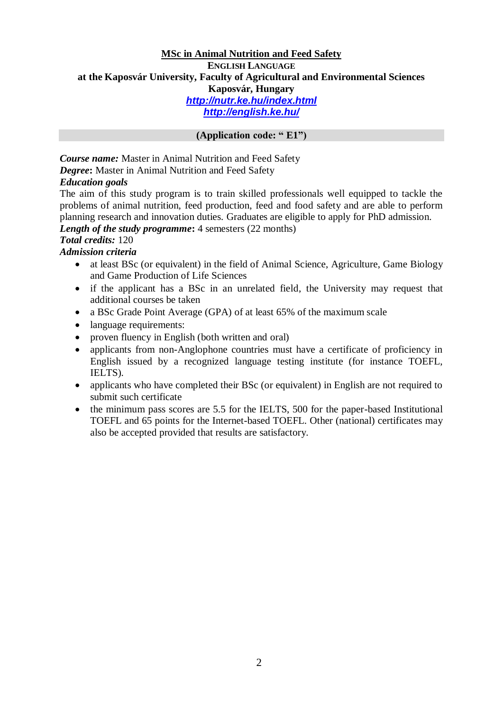# **MSc in Animal Nutrition and Feed Safety ENGLISH LANGUAGE at the Kaposvár University, Faculty of Agricultural and Environmental Sciences Kaposvár, Hungary** *<http://nutr.ke.hu/index.html> http://english.ke.hu/*

## **(Application code: " E1")**

*Course name:* Master in Animal Nutrition and Feed Safety *Degree***:** Master in Animal Nutrition and Feed Safety

## *Education goals*

The aim of this study program is to train skilled professionals well equipped to tackle the problems of animal nutrition, feed production, feed and food safety and are able to perform planning research and innovation duties. Graduates are eligible to apply for PhD admission.

### *Length of the study programme*: 4 semesters (22 months)

# *Total credits:* 120

- *Admission criteria*
	- at least BSc (or equivalent) in the field of Animal Science, Agriculture, Game Biology and Game Production of Life Sciences
	- if the applicant has a BSc in an unrelated field, the University may request that additional courses be taken
	- a BSc Grade Point Average (GPA) of at least 65% of the maximum scale
	- language requirements:
	- proven fluency in English (both written and oral)
	- applicants from non-Anglophone countries must have a certificate of proficiency in English issued by a recognized language testing institute (for instance TOEFL, IELTS).
	- applicants who have completed their BSc (or equivalent) in English are not required to submit such certificate
	- the minimum pass scores are 5.5 for the IELTS, 500 for the paper-based Institutional TOEFL and 65 points for the Internet-based TOEFL. Other (national) certificates may also be accepted provided that results are satisfactory.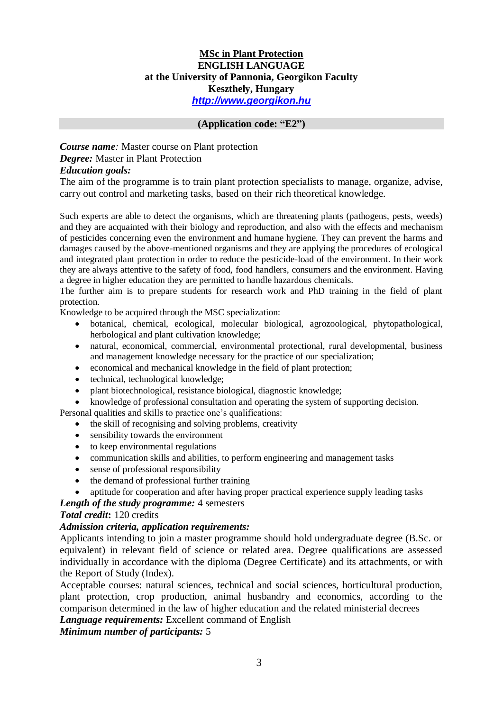# **MSc in Plant Protection ENGLISH LANGUAGE at the University of Pannonia, Georgikon Faculty Keszthely, Hungary** *[http://www.georgikon.hu](http://www.georgikon.hu/)*

#### **(Application code: "E2")**

# *Course name:* Master course on Plant protection *Degree:* Master in Plant Protection *Education goals:*

The aim of the programme is to train plant protection specialists to manage, organize, advise, carry out control and marketing tasks, based on their rich theoretical knowledge.

Such experts are able to detect the organisms, which are threatening plants (pathogens, pests, weeds) and they are acquainted with their biology and reproduction, and also with the effects and mechanism of pesticides concerning even the environment and humane hygiene. They can prevent the harms and damages caused by the above-mentioned organisms and they are applying the procedures of ecological and integrated plant protection in order to reduce the pesticide-load of the environment. In their work they are always attentive to the safety of food, food handlers, consumers and the environment. Having a degree in higher education they are permitted to handle hazardous chemicals.

The further aim is to prepare students for research work and PhD training in the field of plant protection.

Knowledge to be acquired through the MSC specialization:

- botanical, chemical, ecological, molecular biological, agrozoological, phytopathological, herbological and plant cultivation knowledge;
- natural, economical, commercial, environmental protectional, rural developmental, business and management knowledge necessary for the practice of our specialization;
- economical and mechanical knowledge in the field of plant protection;
- technical, technological knowledge;
- plant biotechnological, resistance biological, diagnostic knowledge;
- knowledge of professional consultation and operating the system of supporting decision.

Personal qualities and skills to practice one's qualifications:

- the skill of recognising and solving problems, creativity
	- sensibility towards the environment
	- to keep environmental regulations
	- communication skills and abilities, to perform engineering and management tasks
	- sense of professional responsibility
	- the demand of professional further training
	- aptitude for cooperation and after having proper practical experience supply leading tasks

## *Length of the study programme:* 4 semesters

### *Total credit***:** 120 credits

### *Admission criteria, application requirements:*

Applicants intending to join a master programme should hold undergraduate degree (B.Sc. or equivalent) in relevant field of science or related area. Degree qualifications are assessed individually in accordance with the diploma (Degree Certificate) and its attachments, or with the Report of Study (Index).

Acceptable courses: natural sciences, technical and social sciences, horticultural production, plant protection, crop production, animal husbandry and economics, according to the comparison determined in the law of higher education and the related ministerial decrees

*Language requirements:* Excellent command of English

*Minimum number of participants:* 5